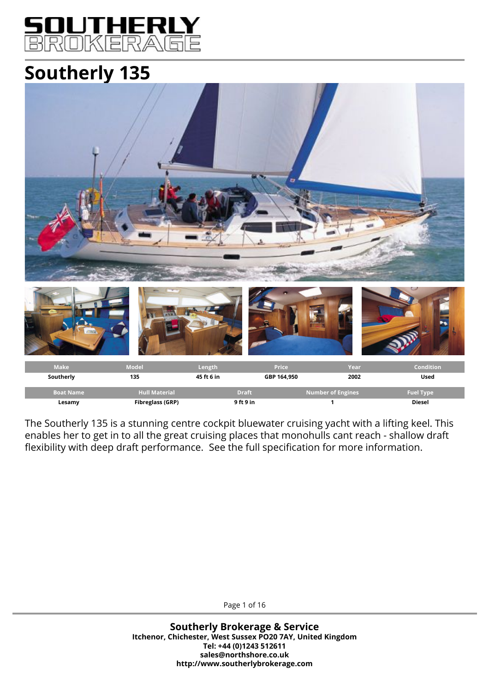## J 1 ROKERAGE

# **Southerly 135**



The Southerly 135 is a stunning centre cockpit bluewater cruising yacht with a lifting keel. This enables her to get in to all the great cruising places that monohulls cant reach - shallow draft flexibility with deep draft performance. See the full specification for more information.

Page 1 of 16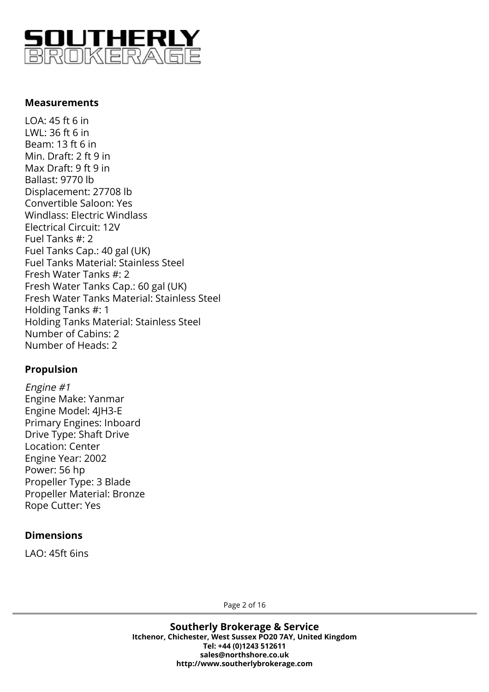

#### **Measurements**

LOA: 45 ft 6 in LWL: 36 ft 6 in Beam: 13 ft 6 in Min. Draft: 2 ft 9 in Max Draft: 9 ft 9 in Ballast: 9770 lb Displacement: 27708 lb Convertible Saloon: Yes Windlass: Electric Windlass Electrical Circuit: 12V Fuel Tanks #: 2 Fuel Tanks Cap.: 40 gal (UK) Fuel Tanks Material: Stainless Steel Fresh Water Tanks #: 2 Fresh Water Tanks Cap.: 60 gal (UK) Fresh Water Tanks Material: Stainless Steel Holding Tanks #: 1 Holding Tanks Material: Stainless Steel Number of Cabins: 2 Number of Heads: 2

## **Propulsion**

Engine #1 Engine Make: Yanmar Engine Model: 4JH3-E Primary Engines: Inboard Drive Type: Shaft Drive Location: Center Engine Year: 2002 Power: 56 hp Propeller Type: 3 Blade Propeller Material: Bronze Rope Cutter: Yes

#### **Dimensions**

LAO: 45ft 6ins

Page 2 of 16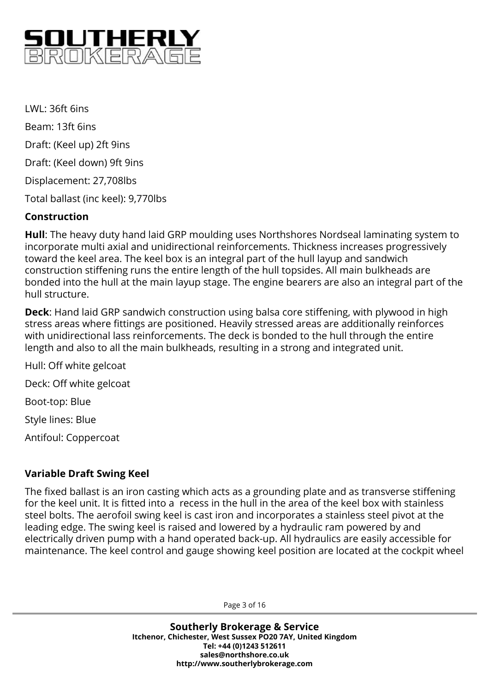

 $IWI·36ft 6ins$ Beam: 13ft 6ins Draft: (Keel up) 2ft 9ins Draft: (Keel down) 9ft 9ins Displacement: 27,708lbs Total ballast (inc keel): 9,770lbs

#### **Construction**

**Hull**: The heavy duty hand laid GRP moulding uses Northshores Nordseal laminating system to incorporate multi axial and unidirectional reinforcements. Thickness increases progressively toward the keel area. The keel box is an integral part of the hull layup and sandwich construction stiffening runs the entire length of the hull topsides. All main bulkheads are bonded into the hull at the main layup stage. The engine bearers are also an integral part of the hull structure.

**Deck**: Hand laid GRP sandwich construction using balsa core stiffening, with plywood in high stress areas where fittings are positioned. Heavily stressed areas are additionally reinforces with unidirectional lass reinforcements. The deck is bonded to the hull through the entire length and also to all the main bulkheads, resulting in a strong and integrated unit.

Hull: Off white gelcoat Deck: Off white gelcoat Boot-top: Blue Style lines: Blue Antifoul: Coppercoat

## **Variable Draft Swing Keel**

The fixed ballast is an iron casting which acts as a grounding plate and as transverse stiffening for the keel unit. It is fitted into a recess in the hull in the area of the keel box with stainless steel bolts. The aerofoil swing keel is cast iron and incorporates a stainless steel pivot at the leading edge. The swing keel is raised and lowered by a hydraulic ram powered by and electrically driven pump with a hand operated back-up. All hydraulics are easily accessible for maintenance. The keel control and gauge showing keel position are located at the cockpit wheel

Page 3 of 16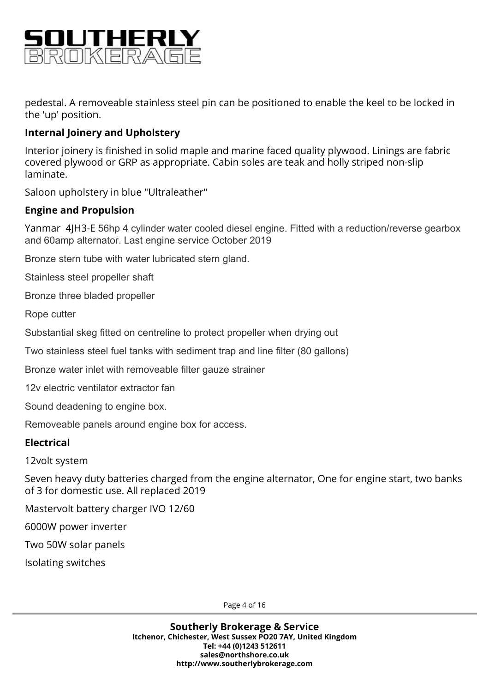

pedestal. A removeable stainless steel pin can be positioned to enable the keel to be locked in the 'up' position.

## **Internal Joinery and Upholstery**

Interior joinery is finished in solid maple and marine faced quality plywood. Linings are fabric covered plywood or GRP as appropriate. Cabin soles are teak and holly striped non-slip laminate.

Saloon upholstery in blue "Ultraleather"

#### **Engine and Propulsion**

Yanmar 4JH3-E 56hp 4 cylinder water cooled diesel engine. Fitted with a reduction/reverse gearbox and 60amp alternator. Last engine service October 2019

Bronze stern tube with water lubricated stern gland.

Stainless steel propeller shaft

Bronze three bladed propeller

Rope cutter

Substantial skeg fitted on centreline to protect propeller when drying out

Two stainless steel fuel tanks with sediment trap and line filter (80 gallons)

Bronze water inlet with removeable filter gauze strainer

12v electric ventilator extractor fan

Sound deadening to engine box.

Removeable panels around engine box for access.

#### **Electrical**

12volt system

Seven heavy duty batteries charged from the engine alternator, One for engine start, two banks of 3 for domestic use. All replaced 2019

Mastervolt battery charger IVO 12/60

6000W power inverter

Two 50W solar panels

Isolating switches

Page 4 of 16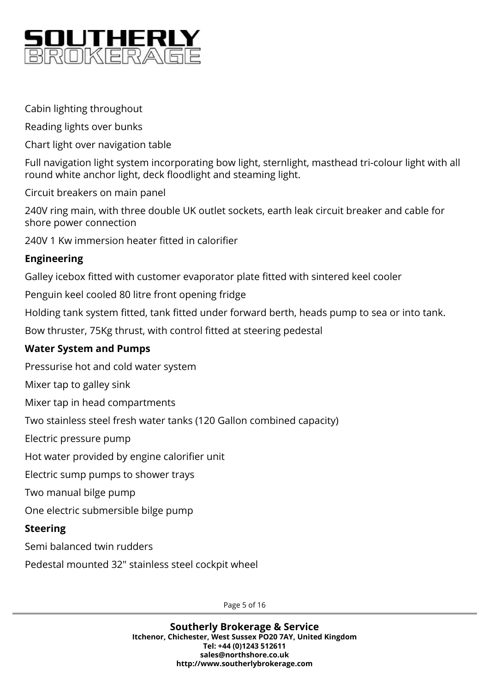

Cabin lighting throughout

Reading lights over bunks

Chart light over navigation table

Full navigation light system incorporating bow light, sternlight, masthead tri-colour light with all round white anchor light, deck floodlight and steaming light.

Circuit breakers on main panel

240V ring main, with three double UK outlet sockets, earth leak circuit breaker and cable for shore power connection

240V 1 Kw immersion heater fitted in calorifier

## **Engineering**

Galley icebox fitted with customer evaporator plate fitted with sintered keel cooler

Penguin keel cooled 80 litre front opening fridge

Holding tank system fitted, tank fitted under forward berth, heads pump to sea or into tank.

Bow thruster, 75Kg thrust, with control fitted at steering pedestal

## **Water System and Pumps**

Pressurise hot and cold water system

Mixer tap to galley sink

Mixer tap in head compartments

Two stainless steel fresh water tanks (120 Gallon combined capacity)

Electric pressure pump

Hot water provided by engine calorifier unit

Electric sump pumps to shower trays

Two manual bilge pump

One electric submersible bilge pump

## **Steering**

Semi balanced twin rudders

Pedestal mounted 32" stainless steel cockpit wheel

Page 5 of 16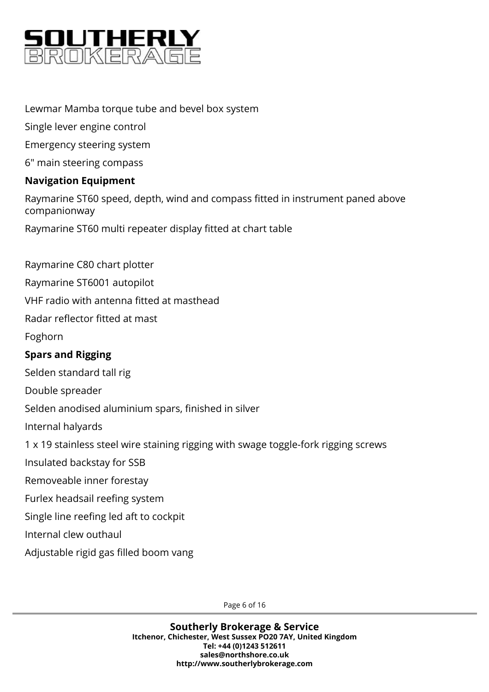

## Lewmar Mamba torque tube and bevel box system

Single lever engine control

Emergency steering system

6" main steering compass

## **Navigation Equipment**

Raymarine ST60 speed, depth, wind and compass fitted in instrument paned above companionway

Raymarine ST60 multi repeater display fitted at chart table

Raymarine C80 chart plotter

Raymarine ST6001 autopilot

VHF radio with antenna fitted at masthead

Radar reflector fitted at mast

Foghorn

## **Spars and Rigging**

Selden standard tall rig

Double spreader

Selden anodised aluminium spars, finished in silver

Internal halyards

1 x 19 stainless steel wire staining rigging with swage toggle-fork rigging screws

Insulated backstay for SSB

Removeable inner forestay

Furlex headsail reefing system

Single line reefing led aft to cockpit

Internal clew outhaul

Adjustable rigid gas filled boom vang

Page 6 of 16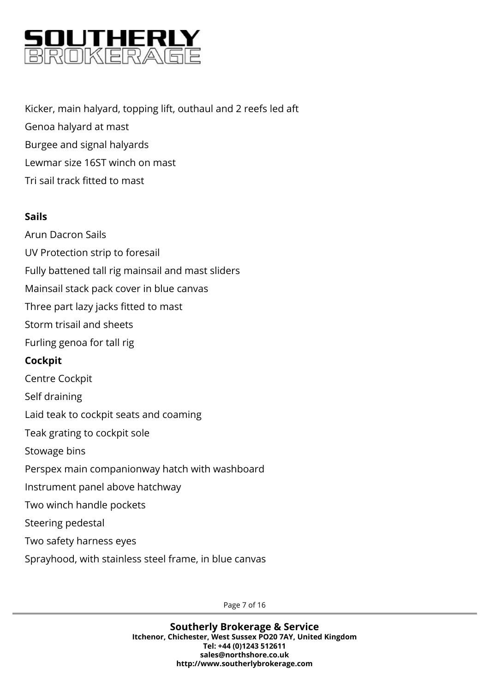

Kicker, main halyard, topping lift, outhaul and 2 reefs led aft Genoa halyard at mast Burgee and signal halyards Lewmar size 16ST winch on mast Tri sail track fitted to mast

## **Sails**

Arun Dacron Sails UV Protection strip to foresail Fully battened tall rig mainsail and mast sliders Mainsail stack pack cover in blue canvas Three part lazy jacks fitted to mast Storm trisail and sheets Furling genoa for tall rig **Cockpit** Centre Cockpit Self draining Laid teak to cockpit seats and coaming Teak grating to cockpit sole Stowage bins Perspex main companionway hatch with washboard Instrument panel above hatchway Two winch handle pockets Steering pedestal Two safety harness eyes Sprayhood, with stainless steel frame, in blue canvas

Page 7 of 16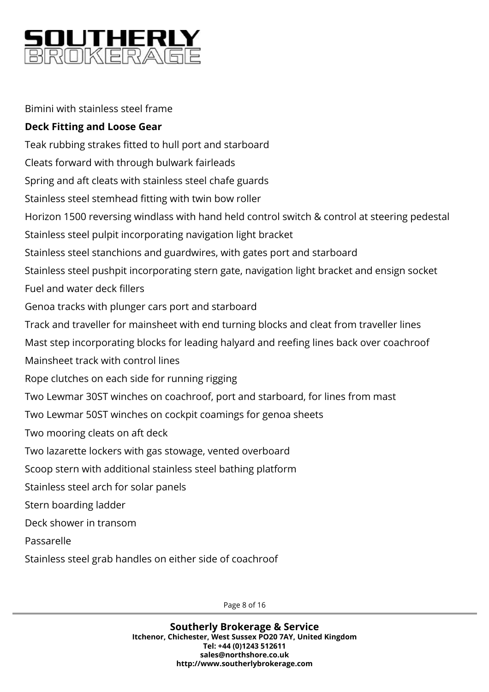

Bimini with stainless steel frame

## **Deck Fitting and Loose Gear**

Teak rubbing strakes fitted to hull port and starboard Cleats forward with through bulwark fairleads Spring and aft cleats with stainless steel chafe guards Stainless steel stemhead fitting with twin bow roller Horizon 1500 reversing windlass with hand held control switch & control at steering pedestal Stainless steel pulpit incorporating navigation light bracket Stainless steel stanchions and guardwires, with gates port and starboard Stainless steel pushpit incorporating stern gate, navigation light bracket and ensign socket Fuel and water deck fillers Genoa tracks with plunger cars port and starboard Track and traveller for mainsheet with end turning blocks and cleat from traveller lines Mast step incorporating blocks for leading halyard and reefing lines back over coachroof Mainsheet track with control lines Rope clutches on each side for running rigging Two Lewmar 30ST winches on coachroof, port and starboard, for lines from mast Two Lewmar 50ST winches on cockpit coamings for genoa sheets Two mooring cleats on aft deck Two lazarette lockers with gas stowage, vented overboard Scoop stern with additional stainless steel bathing platform Stainless steel arch for solar panels Stern boarding ladder Deck shower in transom Passarelle Stainless steel grab handles on either side of coachroof

Page 8 of 16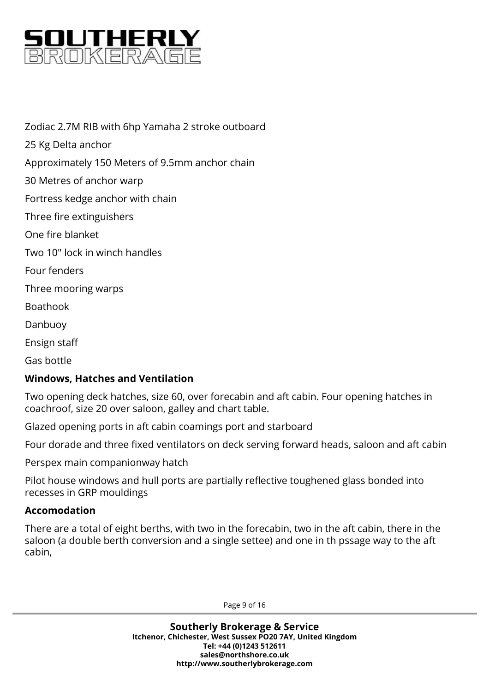

Zodiac 2.7M RIB with 6hp Yamaha 2 stroke outboard 25 Kg Delta anchor Approximately 150 Meters of 9.5mm anchor chain 30 Metres of anchor warp Fortress kedge anchor with chain Three fire extinguishers One fire blanket Two 10" lock in winch handles Four fenders Three mooring warps Boathook Danbuoy Ensign staff

Gas bottle

## **Windows, Hatches and Ventilation**

Two opening deck hatches, size 60, over forecabin and aft cabin. Four opening hatches in coachroof, size 20 over saloon, galley and chart table.

Glazed opening ports in aft cabin coamings port and starboard

Four dorade and three fixed ventilators on deck serving forward heads, saloon and aft cabin

Perspex main companionway hatch

Pilot house windows and hull ports are partially reflective toughened glass bonded into recesses in GRP mouldings

#### **Accomodation**

There are a total of eight berths, with two in the forecabin, two in the aft cabin, there in the saloon (a double berth conversion and a single settee) and one in th pssage way to the aft cabin,

Page 9 of 16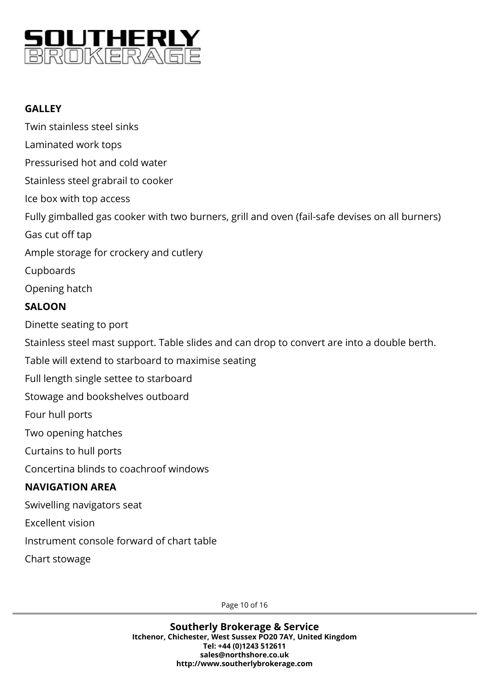

## **GALLEY**

Twin stainless steel sinks Laminated work tops Pressurised hot and cold water Stainless steel grabrail to cooker Ice box with top access Fully gimballed gas cooker with two burners, grill and oven (fail-safe devises on all burners) Gas cut off tap Ample storage for crockery and cutlery Cupboards Opening hatch **SALOON** Dinette seating to port Stainless steel mast support. Table slides and can drop to convert are into a double berth. Table will extend to starboard to maximise seating Full length single settee to starboard Stowage and bookshelves outboard Four hull ports Two opening hatches Curtains to hull ports Concertina blinds to coachroof windows **NAVIGATION AREA** Swivelling navigators seat Excellent vision Instrument console forward of chart table Chart stowage

Page 10 of 16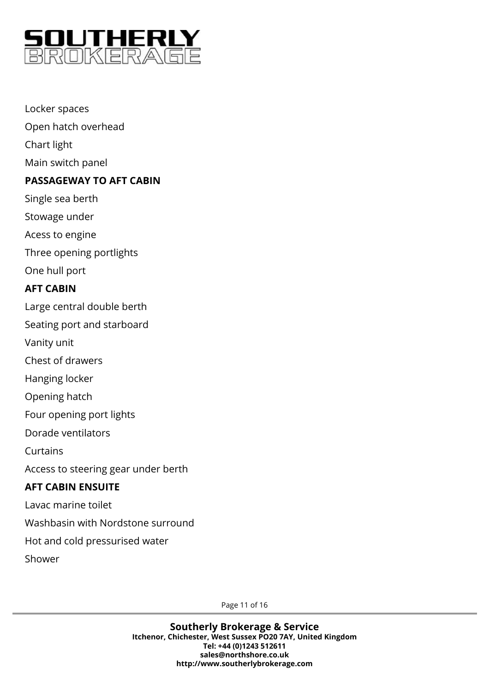

Locker spaces Open hatch overhead Chart light Main switch panel **PASSAGEWAY TO AFT CABIN** Single sea berth Stowage under Acess to engine Three opening portlights One hull port **AFT CABIN** Large central double berth Seating port and starboard Vanity unit Chest of drawers Hanging locker Opening hatch Four opening port lights Dorade ventilators Curtains Access to steering gear under berth **AFT CABIN ENSUITE** Lavac marine toilet Washbasin with Nordstone surround Hot and cold pressurised water Shower

Page 11 of 16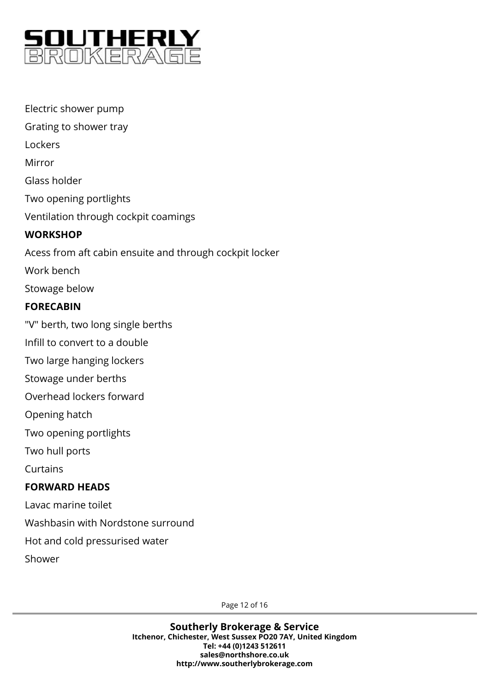

Electric shower pump Grating to shower tray Lockers Mirror Glass holder Two opening portlights Ventilation through cockpit coamings **WORKSHOP** Acess from aft cabin ensuite and through cockpit locker Work bench Stowage below **FORECABIN** "V" berth, two long single berths Infill to convert to a double Two large hanging lockers Stowage under berths Overhead lockers forward Opening hatch Two opening portlights Two hull ports Curtains **FORWARD HEADS** Lavac marine toilet Washbasin with Nordstone surround Hot and cold pressurised water Shower

Page 12 of 16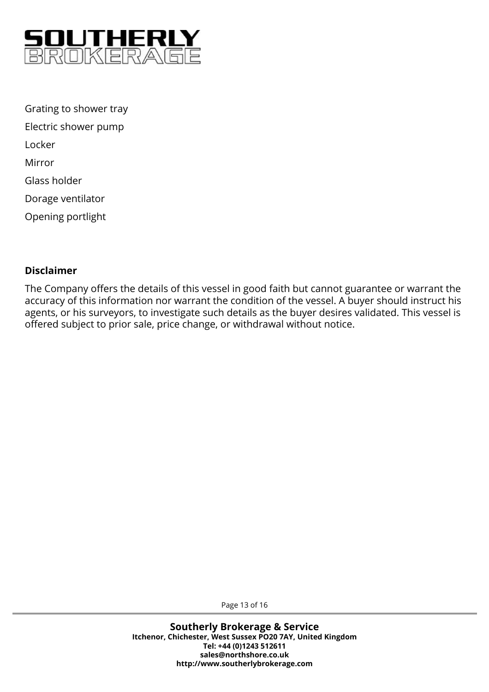

Grating to shower tray Electric shower pump Locker Mirror Glass holder Dorage ventilator Opening portlight

#### **Disclaimer**

The Company offers the details of this vessel in good faith but cannot guarantee or warrant the accuracy of this information nor warrant the condition of the vessel. A buyer should instruct his agents, or his surveyors, to investigate such details as the buyer desires validated. This vessel is offered subject to prior sale, price change, or withdrawal without notice.

Page 13 of 16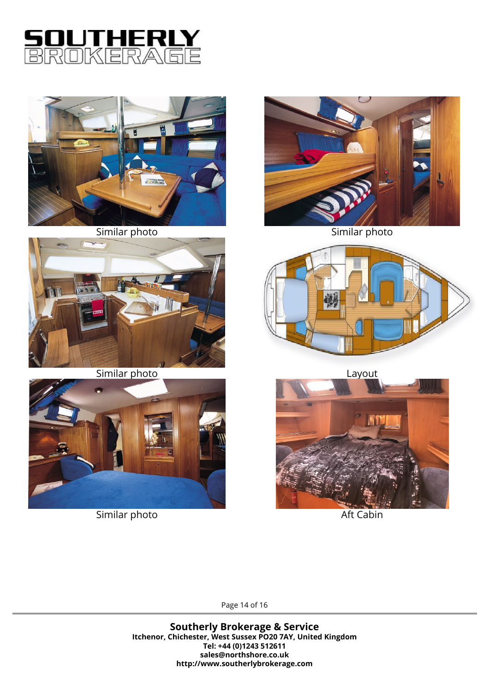



Similar photo



Similar photo



Similar photo



Similar photo



Layout



Aft Cabin

Page 14 of 16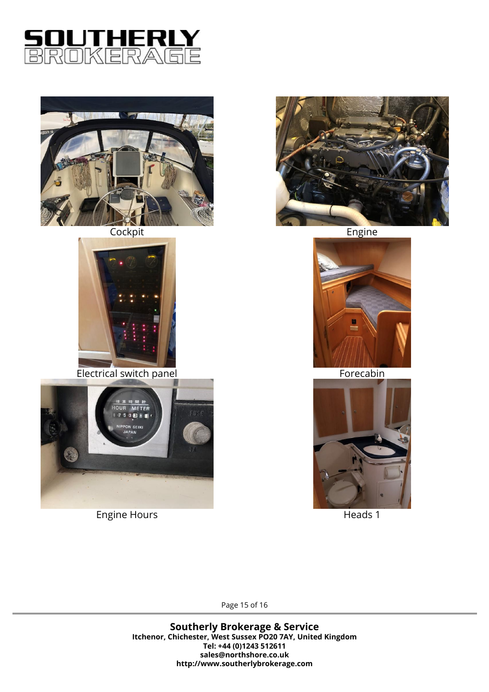



**Cockpit** 



Electrical switch panel



Engine Hours



Engine



Forecabin



Heads 1

Page 15 of 16